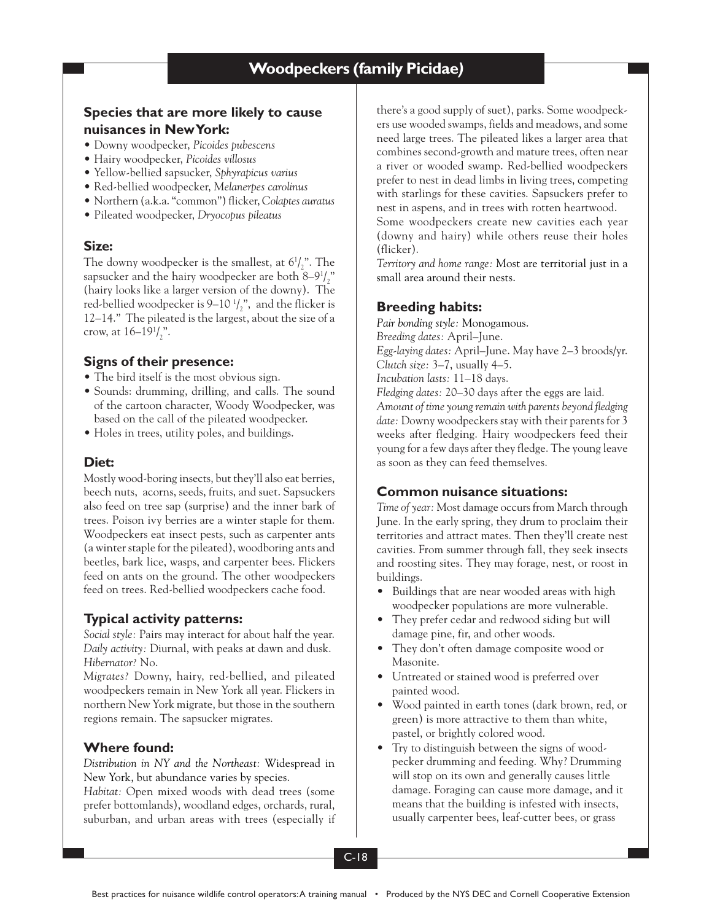# **Species that are more likely to cause nuisances in New York:**

- Downy woodpecker, *Picoides pubescens*
- Hairy woodpecker, *Picoides villosus*
- Yellow-bellied sapsucker, *Sphyrapicus varius*
- Red-bellied woodpecker, *Melanerpes carolinus*
- Northern (a.k.a. "common") flicker, *Colaptes auratus*
- Pileated woodpecker, *Dryocopus pileatus*

## **Size:**

The downy woodpecker is the smallest, at  $6\frac{1}{2}$ ". The sapsucker and the hairy woodpecker are both 8–9 $\frac{1}{2}$ " (hairy looks like a larger version of the downy). The red-bellied woodpecker is  $9-10\frac{1}{2}$ , and the flicker is 12–14." The pileated is the largest, about the size of a crow, at  $16-19^{1}/^{n}_{2}$ .

# **Signs of their presence:**

- The bird itself is the most obvious sign.
- Sounds: drumming, drilling, and calls. The sound of the cartoon character, Woody Woodpecker, was based on the call of the pileated woodpecker.
- Holes in trees, utility poles, and buildings.

## **Diet:**

Mostly wood-boring insects, but they'll also eat berries, beech nuts, acorns, seeds, fruits, and suet. Sapsuckers also feed on tree sap (surprise) and the inner bark of trees. Poison ivy berries are a winter staple for them. Woodpeckers eat insect pests, such as carpenter ants (a winter staple for the pileated), woodboring ants and beetles, bark lice, wasps, and carpenter bees. Flickers feed on ants on the ground. The other woodpeckers feed on trees. Red-bellied woodpeckers cache food.

# **Typical activity patterns:**

*Social style:* Pairs may interact for about half the year. *Daily activity:* Diurnal, with peaks at dawn and dusk. *Hibernator?* No.

*Migrates?* Downy, hairy, red-bellied, and pileated woodpeckers remain in New York all year. Flickers in northern New York migrate, but those in the southern regions remain. The sapsucker migrates.

## **Where found:**

*Distribution in NY and the Northeast:* Widespread in New York, but abundance varies by species.

*Habitat:* Open mixed woods with dead trees (some prefer bottomlands), woodland edges, orchards, rural, suburban, and urban areas with trees (especially if there's a good supply of suet), parks. Some woodpeckers use wooded swamps, fields and meadows, and some need large trees. The pileated likes a larger area that combines second-growth and mature trees, often near a river or wooded swamp. Red-bellied woodpeckers prefer to nest in dead limbs in living trees, competing with starlings for these cavities. Sapsuckers prefer to nest in aspens, and in trees with rotten heartwood. Some woodpeckers create new cavities each year (downy and hairy) while others reuse their holes (flicker).

*Territory and home range:* Most are territorial just in a small area around their nests.

# **Breeding habits:**

*Pair bonding style:* Monogamous. *Breeding dates:* April–June. *Egg-laying dates:* April–June. May have 2–3 broods/yr. *Clutch size:* 3–7, usually 4–5. *Incubation lasts:* 11–18 days. *Fledging dates:* 20–30 days after the eggs are laid. *Amount of time young remain with parents beyond fledging date:* Downy woodpeckers stay with their parents for 3 weeks after fledging. Hairy woodpeckers feed their young for a few days after they fledge. The young leave as soon as they can feed themselves.

# **Common nuisance situations:**

*Time of year:* Most damage occurs from March through June. In the early spring, they drum to proclaim their territories and attract mates. Then they'll create nest cavities. From summer through fall, they seek insects and roosting sites. They may forage, nest, or roost in buildings.

- Buildings that are near wooded areas with high woodpecker populations are more vulnerable.
- They prefer cedar and redwood siding but will damage pine, fir, and other woods.
- They don't often damage composite wood or Masonite.
- Untreated or stained wood is preferred over painted wood.
- Wood painted in earth tones (dark brown, red, or green) is more attractive to them than white, pastel, or brightly colored wood.
- Try to distinguish between the signs of woodpecker drumming and feeding. Why? Drumming will stop on its own and generally causes little damage. Foraging can cause more damage, and it means that the building is infested with insects, usually carpenter bees, leaf-cutter bees, or grass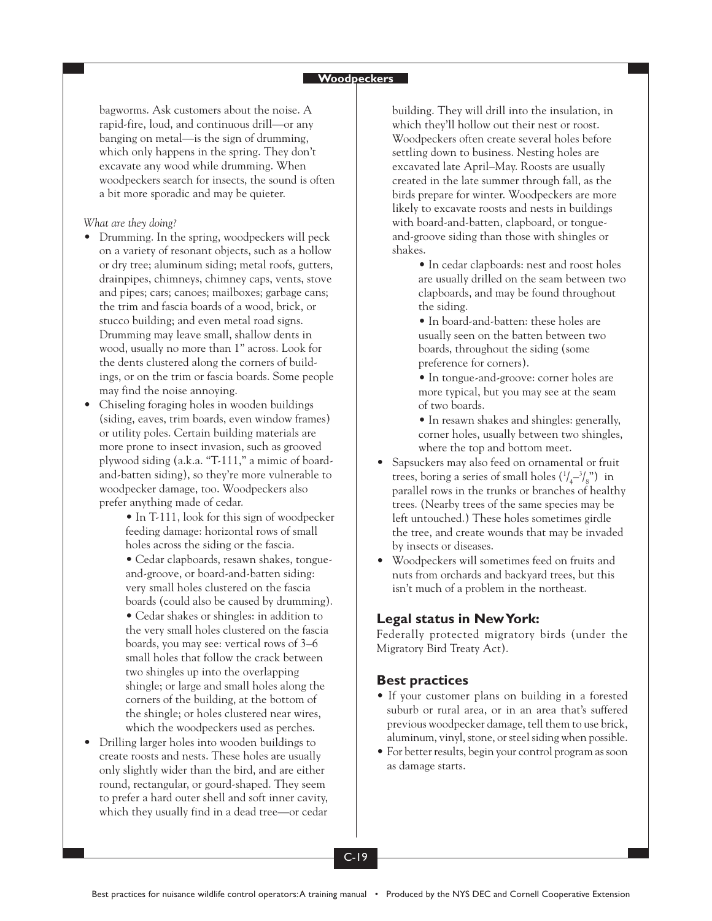#### **Woodpeckers**

bagworms. Ask customers about the noise. A rapid-fire, loud, and continuous drill—or any banging on metal—is the sign of drumming, which only happens in the spring. They don't excavate any wood while drumming. When woodpeckers search for insects, the sound is often a bit more sporadic and may be quieter.

#### *What are they doing?*

- Drumming. In the spring, woodpeckers will peck on a variety of resonant objects, such as a hollow or dry tree; aluminum siding; metal roofs, gutters, drainpipes, chimneys, chimney caps, vents, stove and pipes; cars; canoes; mailboxes; garbage cans; the trim and fascia boards of a wood, brick, or stucco building; and even metal road signs. Drumming may leave small, shallow dents in wood, usually no more than 1" across. Look for the dents clustered along the corners of buildings, or on the trim or fascia boards. Some people may find the noise annoying.
- Chiseling foraging holes in wooden buildings (siding, eaves, trim boards, even window frames) or utility poles. Certain building materials are more prone to insect invasion, such as grooved plywood siding (a.k.a. "T-111," a mimic of boardand-batten siding), so they're more vulnerable to woodpecker damage, too. Woodpeckers also prefer anything made of cedar.
	- In T-111, look for this sign of woodpecker feeding damage: horizontal rows of small holes across the siding or the fascia.
	- Cedar clapboards, resawn shakes, tongueand-groove, or board-and-batten siding: very small holes clustered on the fascia boards (could also be caused by drumming). • Cedar shakes or shingles: in addition to the very small holes clustered on the fascia boards, you may see: vertical rows of 3–6 small holes that follow the crack between two shingles up into the overlapping shingle; or large and small holes along the corners of the building, at the bottom of the shingle; or holes clustered near wires, which the woodpeckers used as perches.
- Drilling larger holes into wooden buildings to create roosts and nests. These holes are usually only slightly wider than the bird, and are either round, rectangular, or gourd-shaped. They seem to prefer a hard outer shell and soft inner cavity, which they usually find in a dead tree—or cedar

building. They will drill into the insulation, in which they'll hollow out their nest or roost. Woodpeckers often create several holes before settling down to business. Nesting holes are excavated late April–May. Roosts are usually created in the late summer through fall, as the birds prepare for winter. Woodpeckers are more likely to excavate roosts and nests in buildings with board-and-batten, clapboard, or tongueand-groove siding than those with shingles or shakes.

> • In cedar clapboards: nest and roost holes are usually drilled on the seam between two clapboards, and may be found throughout the siding.

• In board-and-batten: these holes are usually seen on the batten between two boards, throughout the siding (some preference for corners).

- In tongue-and-groove: corner holes are more typical, but you may see at the seam of two boards.
- In resawn shakes and shingles: generally, corner holes, usually between two shingles, where the top and bottom meet.
- Sapsuckers may also feed on ornamental or fruit trees, boring a series of small holes  $(1/4 - 1/8)$  in parallel rows in the trunks or branches of healthy trees. (Nearby trees of the same species may be left untouched.) These holes sometimes girdle the tree, and create wounds that may be invaded by insects or diseases.
- Woodpeckers will sometimes feed on fruits and nuts from orchards and backyard trees, but this isn't much of a problem in the northeast.

### **Legal status in New York:**

Federally protected migratory birds (under the Migratory Bird Treaty Act).

### **Best practices**

- If your customer plans on building in a forested suburb or rural area, or in an area that's suffered previous woodpecker damage, tell them to use brick, aluminum, vinyl, stone, or steel siding when possible.
- For better results, begin your control program as soon as damage starts.